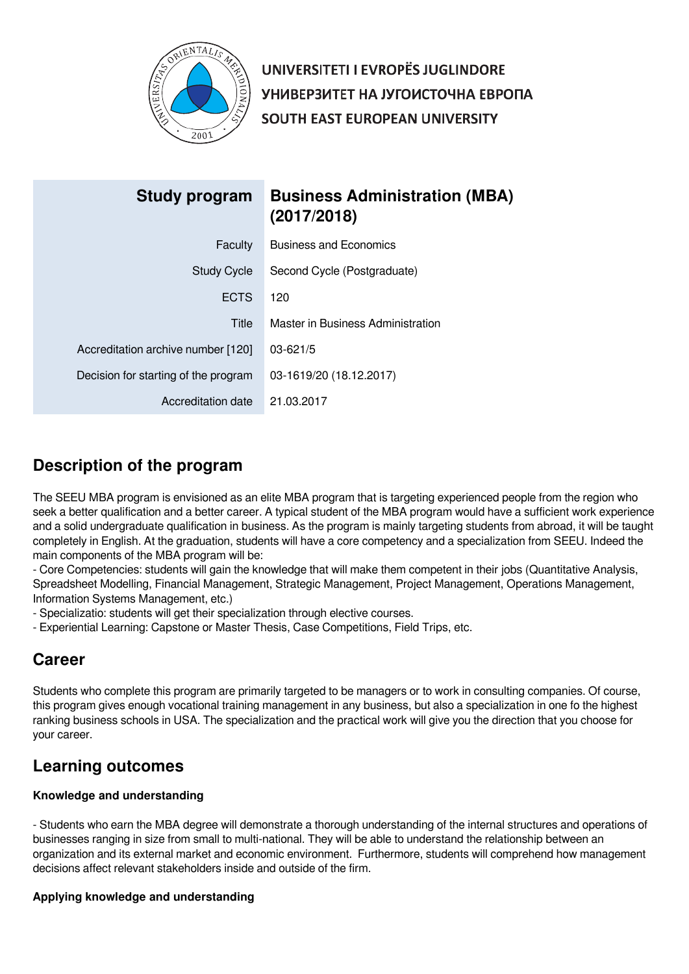

UNIVERSITETI I EVROPËS JUGLINDORE УНИВЕРЗИТЕТ НА ЈУГОИСТОЧНА ЕВРОПА SOUTH EAST EUROPEAN UNIVERSITY

| Study program                        | <b>Business Administration (MBA)</b><br>(2017/2018) |
|--------------------------------------|-----------------------------------------------------|
| Faculty                              | <b>Business and Economics</b>                       |
| <b>Study Cycle</b>                   | Second Cycle (Postgraduate)                         |
| <b>ECTS</b>                          | 120                                                 |
| Title                                | Master in Business Administration                   |
| Accreditation archive number [120]   | $03 - 621/5$                                        |
| Decision for starting of the program | 03-1619/20 (18.12.2017)                             |
| Accreditation date                   | 21.03.2017                                          |

# **Description of the program**

The SEEU MBA program is envisioned as an elite MBA program that is targeting experienced people from the region who seek a better qualification and a better career. A typical student of the MBA program would have a sufficient work experience and a solid undergraduate qualification in business. As the program is mainly targeting students from abroad, it will be taught completely in English. At the graduation, students will have a core competency and a specialization from SEEU. Indeed the main components of the MBA program will be:

- Core Competencies: students will gain the knowledge that will make them competent in their jobs (Quantitative Analysis, Spreadsheet Modelling, Financial Management, Strategic Management, Project Management, Operations Management, Information Systems Management, etc.)

- Specializatio: students will get their specialization through elective courses.

- Experiential Learning: Capstone or Master Thesis, Case Competitions, Field Trips, etc.

## **Career**

Students who complete this program are primarily targeted to be managers or to work in consulting companies. Of course, this program gives enough vocational training management in any business, but also a specialization in one fo the highest ranking business schools in USA. The specialization and the practical work will give you the direction that you choose for your career.

# **Learning outcomes**

## **Knowledge and understanding**

- Students who earn the MBA degree will demonstrate a thorough understanding of the internal structures and operations of businesses ranging in size from small to multi-national. They will be able to understand the relationship between an organization and its external market and economic environment. Furthermore, students will comprehend how management decisions affect relevant stakeholders inside and outside of the firm.

## **Applying knowledge and understanding**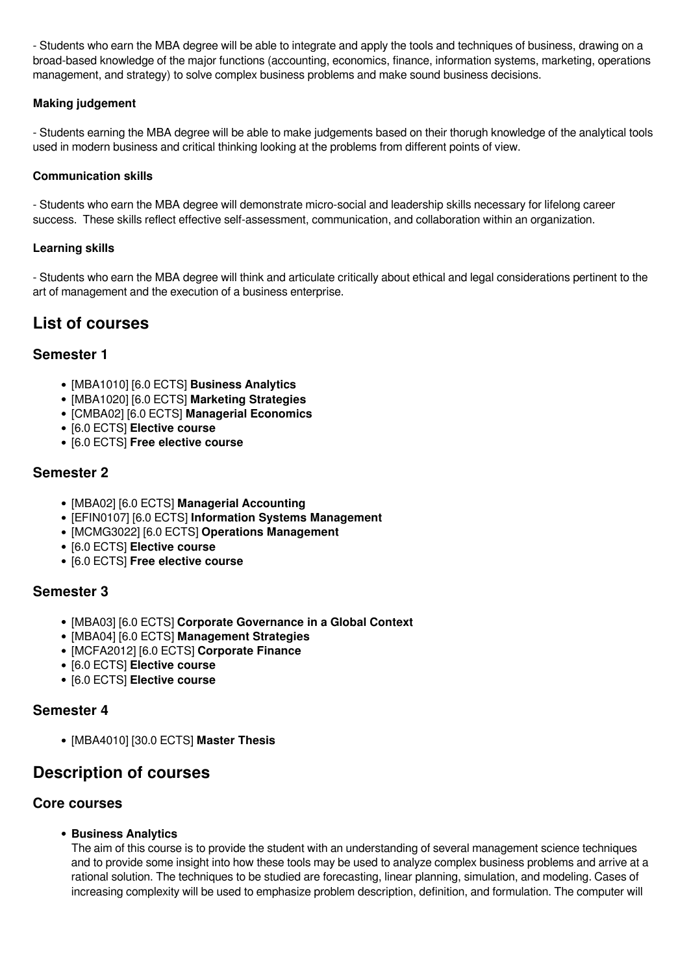- Students who earn the MBA degree will be able to integrate and apply the tools and techniques of business, drawing on a broad-based knowledge of the major functions (accounting, economics, finance, information systems, marketing, operations management, and strategy) to solve complex business problems and make sound business decisions.

## **Making judgement**

- Students earning the MBA degree will be able to make judgements based on their thorugh knowledge of the analytical tools used in modern business and critical thinking looking at the problems from different points of view.

### **Communication skills**

- Students who earn the MBA degree will demonstrate micro-social and leadership skills necessary for lifelong career success. These skills reflect effective self-assessment, communication, and collaboration within an organization.

#### **Learning skills**

- Students who earn the MBA degree will think and articulate critically about ethical and legal considerations pertinent to the art of management and the execution of a business enterprise.

## **List of courses**

## **Semester 1**

- [MBA1010] [6.0 ECTS] **Business Analytics**
- [MBA1020] [6.0 ECTS] **Marketing Strategies**
- [CMBA02] [6.0 ECTS] **Managerial Economics**
- [6.0 ECTS] **Elective course**
- [6.0 ECTS] **Free elective course**

## **Semester 2**

- [MBA02] [6.0 ECTS] **Managerial Accounting**
- [EFIN0107] [6.0 ECTS] **Information Systems Management**
- [MCMG3022] [6.0 ECTS] **Operations Management**
- [6.0 ECTS] **Elective course**
- [6.0 ECTS] **Free elective course**

## **Semester 3**

- [MBA03] [6.0 ECTS] **Corporate Governance in a Global Context**
- [MBA04] [6.0 ECTS] **Management Strategies**
- [MCFA2012] [6.0 ECTS] **Corporate Finance**
- [6.0 ECTS] **Elective course**
- [6.0 ECTS] **Elective course**

## **Semester 4**

[MBA4010] [30.0 ECTS] **Master Thesis**

## **Description of courses**

## **Core courses**

**Business Analytics**

The aim of this course is to provide the student with an understanding of several management science techniques and to provide some insight into how these tools may be used to analyze complex business problems and arrive at a rational solution. The techniques to be studied are forecasting, linear planning, simulation, and modeling. Cases of increasing complexity will be used to emphasize problem description, definition, and formulation. The computer will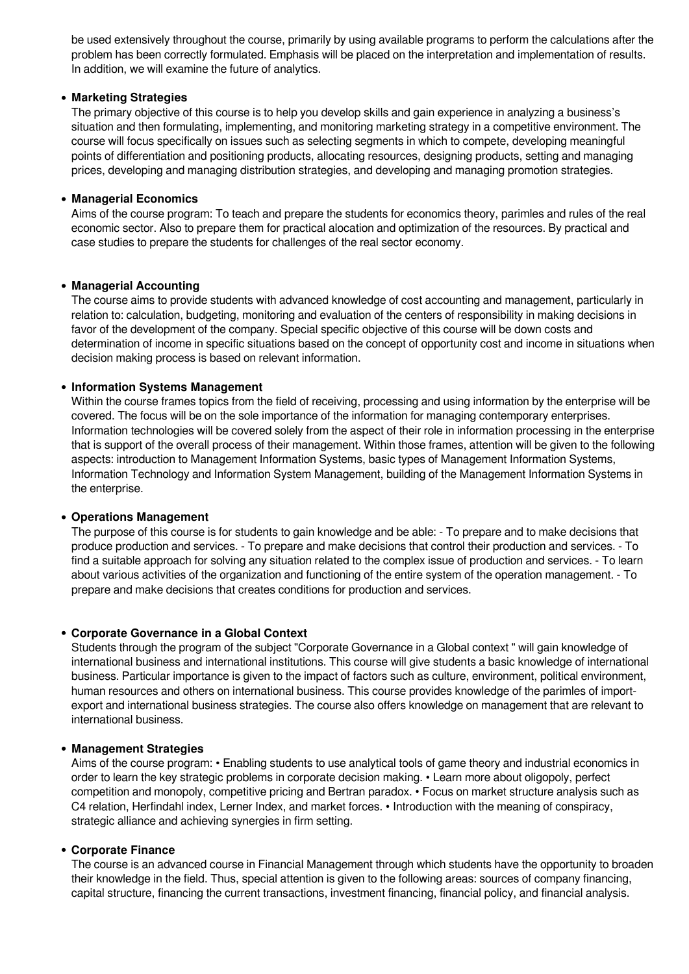be used extensively throughout the course, primarily by using available programs to perform the calculations after the problem has been correctly formulated. Emphasis will be placed on the interpretation and implementation of results. In addition, we will examine the future of analytics.

#### **Marketing Strategies**

The primary objective of this course is to help you develop skills and gain experience in analyzing a business's situation and then formulating, implementing, and monitoring marketing strategy in a competitive environment. The course will focus specifically on issues such as selecting segments in which to compete, developing meaningful points of differentiation and positioning products, allocating resources, designing products, setting and managing prices, developing and managing distribution strategies, and developing and managing promotion strategies.

#### **Managerial Economics**

Aims of the course program: To teach and prepare the students for economics theory, parimles and rules of the real economic sector. Also to prepare them for practical alocation and optimization of the resources. By practical and case studies to prepare the students for challenges of the real sector economy.

#### **Managerial Accounting**

The course aims to provide students with advanced knowledge of cost accounting and management, particularly in relation to: calculation, budgeting, monitoring and evaluation of the centers of responsibility in making decisions in favor of the development of the company. Special specific objective of this course will be down costs and determination of income in specific situations based on the concept of opportunity cost and income in situations when decision making process is based on relevant information.

#### **Information Systems Management**

Within the course frames topics from the field of receiving, processing and using information by the enterprise will be covered. The focus will be on the sole importance of the information for managing contemporary enterprises. Information technologies will be covered solely from the aspect of their role in information processing in the enterprise that is support of the overall process of their management. Within those frames, attention will be given to the following aspects: introduction to Management Information Systems, basic types of Management Information Systems, Information Technology and Information System Management, building of the Management Information Systems in the enterprise.

#### **Operations Management**

The purpose of this course is for students to gain knowledge and be able: - To prepare and to make decisions that produce production and services. - To prepare and make decisions that control their production and services. - To find a suitable approach for solving any situation related to the complex issue of production and services. - To learn about various activities of the organization and functioning of the entire system of the operation management. - To prepare and make decisions that creates conditions for production and services.

#### **Corporate Governance in a Global Context**

Students through the program of the subject "Corporate Governance in a Global context " will gain knowledge of international business and international institutions. This course will give students a basic knowledge of international business. Particular importance is given to the impact of factors such as culture, environment, political environment, human resources and others on international business. This course provides knowledge of the parimles of importexport and international business strategies. The course also offers knowledge on management that are relevant to international business.

#### **Management Strategies**

Aims of the course program: • Enabling students to use analytical tools of game theory and industrial economics in order to learn the key strategic problems in corporate decision making. • Learn more about oligopoly, perfect competition and monopoly, competitive pricing and Bertran paradox. • Focus on market structure analysis such as C4 relation, Herfindahl index, Lerner Index, and market forces. • Introduction with the meaning of conspiracy, strategic alliance and achieving synergies in firm setting.

#### **Corporate Finance**

The course is an advanced course in Financial Management through which students have the opportunity to broaden their knowledge in the field. Thus, special attention is given to the following areas: sources of company financing, capital structure, financing the current transactions, investment financing, financial policy, and financial analysis.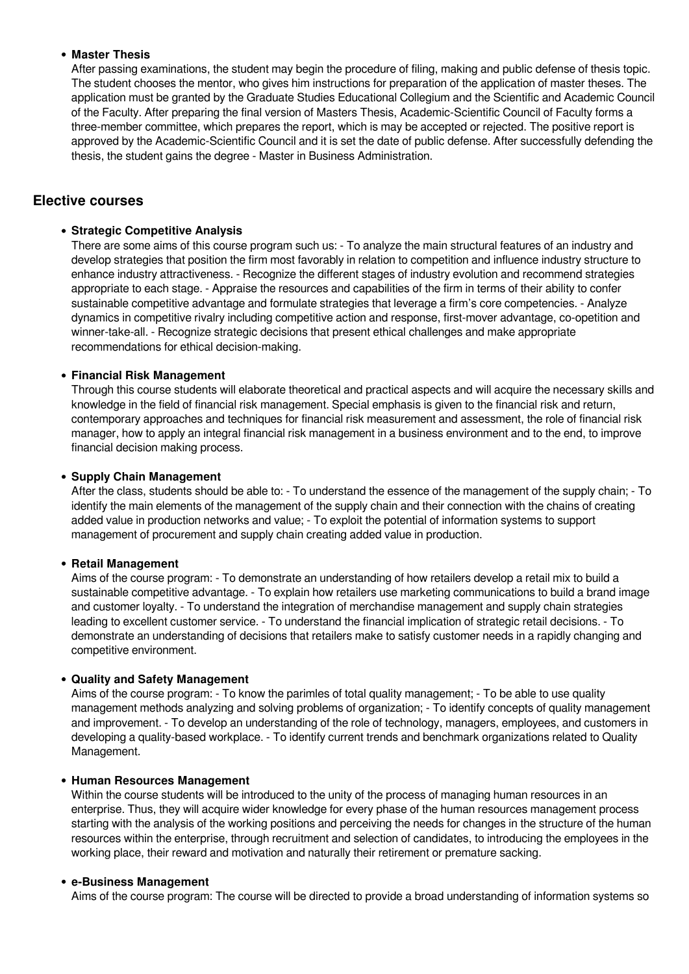#### **Master Thesis**

After passing examinations, the student may begin the procedure of filing, making and public defense of thesis topic. The student chooses the mentor, who gives him instructions for preparation of the application of master theses. The application must be granted by the Graduate Studies Educational Collegium and the Scientific and Academic Council of the Faculty. After preparing the final version of Masters Thesis, Academic-Scientific Council of Faculty forms a three-member committee, which prepares the report, which is may be accepted or rejected. The positive report is approved by the Academic-Scientific Council and it is set the date of public defense. After successfully defending the thesis, the student gains the degree - Master in Business Administration.

## **Elective courses**

#### **Strategic Competitive Analysis**

There are some aims of this course program such us: - To analyze the main structural features of an industry and develop strategies that position the firm most favorably in relation to competition and influence industry structure to enhance industry attractiveness. - Recognize the different stages of industry evolution and recommend strategies appropriate to each stage. - Appraise the resources and capabilities of the firm in terms of their ability to confer sustainable competitive advantage and formulate strategies that leverage a firm's core competencies. - Analyze dynamics in competitive rivalry including competitive action and response, first-mover advantage, co-opetition and winner-take-all. - Recognize strategic decisions that present ethical challenges and make appropriate recommendations for ethical decision-making.

#### **Financial Risk Management**

Through this course students will elaborate theoretical and practical aspects and will acquire the necessary skills and knowledge in the field of financial risk management. Special emphasis is given to the financial risk and return, contemporary approaches and techniques for financial risk measurement and assessment, the role of financial risk manager, how to apply an integral financial risk management in a business environment and to the end, to improve financial decision making process.

#### **Supply Chain Management**

After the class, students should be able to: - To understand the essence of the management of the supply chain; - To identify the main elements of the management of the supply chain and their connection with the chains of creating added value in production networks and value; - To exploit the potential of information systems to support management of procurement and supply chain creating added value in production.

#### **Retail Management**

Aims of the course program: - To demonstrate an understanding of how retailers develop a retail mix to build a sustainable competitive advantage. - To explain how retailers use marketing communications to build a brand image and customer loyalty. - To understand the integration of merchandise management and supply chain strategies leading to excellent customer service. - To understand the financial implication of strategic retail decisions. - To demonstrate an understanding of decisions that retailers make to satisfy customer needs in a rapidly changing and competitive environment.

#### **Quality and Safety Management**

Aims of the course program: - To know the parimles of total quality management; - To be able to use quality management methods analyzing and solving problems of organization; - To identify concepts of quality management and improvement. - To develop an understanding of the role of technology, managers, employees, and customers in developing a quality-based workplace. - To identify current trends and benchmark organizations related to Quality Management.

#### **Human Resources Management**

Within the course students will be introduced to the unity of the process of managing human resources in an enterprise. Thus, they will acquire wider knowledge for every phase of the human resources management process starting with the analysis of the working positions and perceiving the needs for changes in the structure of the human resources within the enterprise, through recruitment and selection of candidates, to introducing the employees in the working place, their reward and motivation and naturally their retirement or premature sacking.

#### **e-Business Management**

Aims of the course program: The course will be directed to provide a broad understanding of information systems so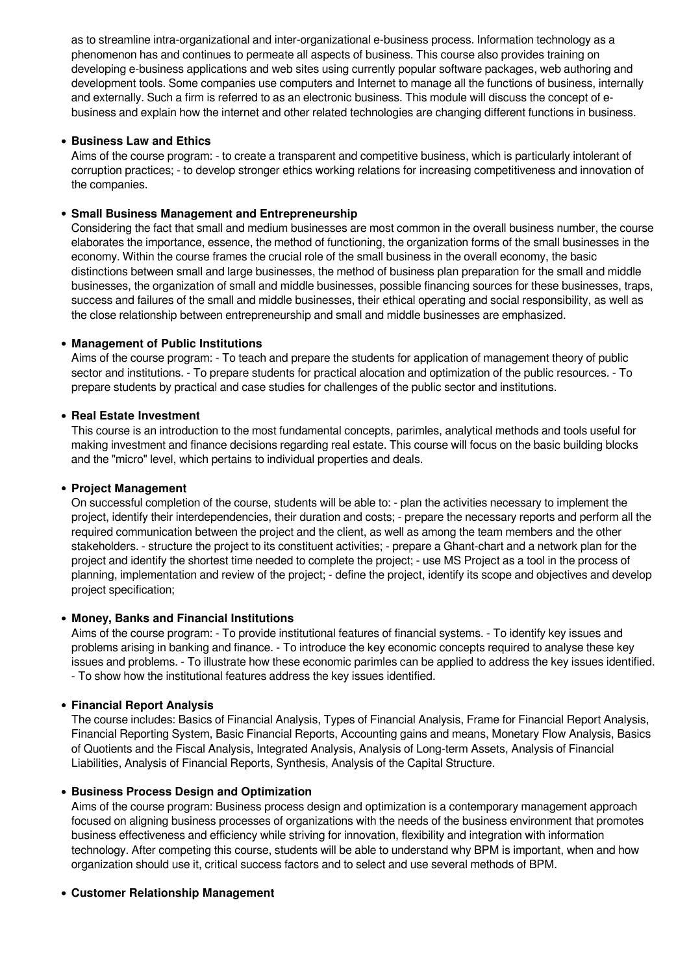as to streamline intra-organizational and inter-organizational e-business process. Information technology as a phenomenon has and continues to permeate all aspects of business. This course also provides training on developing e-business applications and web sites using currently popular software packages, web authoring and development tools. Some companies use computers and Internet to manage all the functions of business, internally and externally. Such a firm is referred to as an electronic business. This module will discuss the concept of ebusiness and explain how the internet and other related technologies are changing different functions in business.

#### **Business Law and Ethics**

Aims of the course program: - to create a transparent and competitive business, which is particularly intolerant of corruption practices; - to develop stronger ethics working relations for increasing competitiveness and innovation of the companies.

#### **Small Business Management and Entrepreneurship**

Considering the fact that small and medium businesses are most common in the overall business number, the course elaborates the importance, essence, the method of functioning, the organization forms of the small businesses in the economy. Within the course frames the crucial role of the small business in the overall economy, the basic distinctions between small and large businesses, the method of business plan preparation for the small and middle businesses, the organization of small and middle businesses, possible financing sources for these businesses, traps, success and failures of the small and middle businesses, their ethical operating and social responsibility, as well as the close relationship between entrepreneurship and small and middle businesses are emphasized.

#### **Management of Public Institutions**

Aims of the course program: - To teach and prepare the students for application of management theory of public sector and institutions. - To prepare students for practical alocation and optimization of the public resources. - To prepare students by practical and case studies for challenges of the public sector and institutions.

#### **• Real Estate Investment**

This course is an introduction to the most fundamental concepts, parimles, analytical methods and tools useful for making investment and finance decisions regarding real estate. Тhis course will focus on the basic building blocks and the "micro" level, which pertains to individual properties and deals.

#### **Project Management**

On successful completion of the course, students will be able to: - plan the activities necessary to implement the project, identify their interdependencies, their duration and costs; - prepare the necessary reports and perform all the required communication between the project and the client, as well as among the team members and the other stakeholders. - structure the project to its constituent activities; - prepare a Ghant-chart and a network plan for the project and identify the shortest time needed to complete the project; - use MS Project as a tool in the process of planning, implementation and review of the project; - define the project, identify its scope and objectives and develop project specification;

#### **Money, Banks and Financial Institutions**

Aims of the course program: - To provide institutional features of financial systems. - To identify key issues and problems arising in banking and finance. - To introduce the key economic concepts required to analyse these key issues and problems. - To illustrate how these economic parimles can be applied to address the key issues identified. - To show how the institutional features address the key issues identified.

#### **Financial Report Analysis**

The course includes: Basics of Financial Analysis, Types of Financial Analysis, Frame for Financial Report Analysis, Financial Reporting System, Basic Financial Reports, Accounting gains and means, Monetary Flow Analysis, Basics of Quotients and the Fiscal Analysis, Integrated Analysis, Analysis of Long-term Assets, Analysis of Financial Liabilities, Analysis of Financial Reports, Synthesis, Analysis of the Capital Structure.

#### **Business Process Design and Optimization**

Aims of the course program: Business process design and optimization is a contemporary management approach focused on aligning business processes of organizations with the needs of the business environment that promotes business effectiveness and efficiency while striving for innovation, flexibility and integration with information technology. After competing this course, students will be able to understand why BPM is important, when and how organization should use it, critical success factors and to select and use several methods of BPM.

#### **Customer Relationship Management**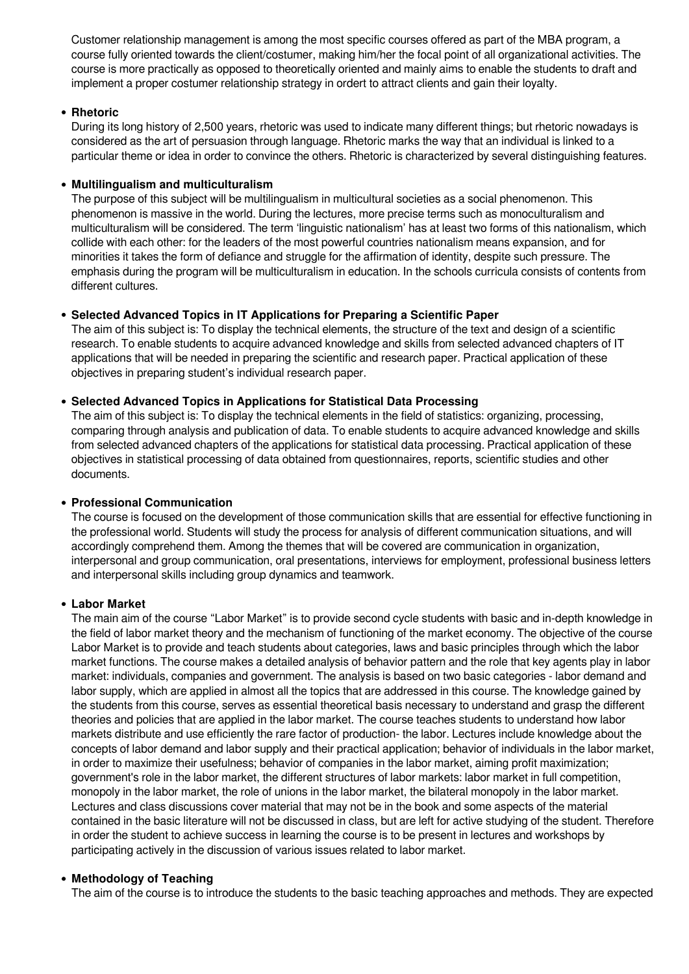Customer relationship management is among the most specific courses offered as part of the MBA program, a course fully oriented towards the client/costumer, making him/her the focal point of all organizational activities. The course is more practically as opposed to theoretically oriented and mainly aims to enable the students to draft and implement a proper costumer relationship strategy in ordert to attract clients and gain their loyalty.

#### **Rhetoric**

During its long history of 2,500 years, rhetoric was used to indicate many different things; but rhetoric nowadays is considered as the art of persuasion through language. Rhetoric marks the way that an individual is linked to a particular theme or idea in order to convince the others. Rhetoric is characterized by several distinguishing features.

#### **Multilingualism and multiculturalism**

The purpose of this subject will be multilingualism in multicultural societies as a social phenomenon. This phenomenon is massive in the world. During the lectures, more precise terms such as monoculturalism and multiculturalism will be considered. The term 'linguistic nationalism' has at least two forms of this nationalism, which collide with each other: for the leaders of the most powerful countries nationalism means expansion, and for minorities it takes the form of defiance and struggle for the affirmation of identity, despite such pressure. The emphasis during the program will be multiculturalism in education. In the schools curricula consists of contents from different cultures.

## **Selected Advanced Topics in IT Applications for Preparing a Scientific Paper**

The aim of this subject is: To display the technical elements, the structure of the text and design of a scientific research. To enable students to acquire advanced knowledge and skills from selected advanced chapters of IT applications that will be needed in preparing the scientific and research paper. Practical application of these objectives in preparing student's individual research paper.

#### **Selected Advanced Topics in Applications for Statistical Data Processing**

The aim of this subject is: To display the technical elements in the field of statistics: organizing, processing, comparing through analysis and publication of data. To enable students to acquire advanced knowledge and skills from selected advanced chapters of the applications for statistical data processing. Practical application of these objectives in statistical processing of data obtained from questionnaires, reports, scientific studies and other documents.

#### **Professional Communication**

The course is focused on the development of those communication skills that are essential for effective functioning in the professional world. Students will study the process for analysis of different communication situations, and will accordingly comprehend them. Among the themes that will be covered are communication in organization, interpersonal and group communication, oral presentations, interviews for employment, professional business letters and interpersonal skills including group dynamics and teamwork.

#### **Labor Market**

The main aim of the course "Labor Market" is to provide second cycle students with basic and in-depth knowledge in the field of labor market theory and the mechanism of functioning of the market economy. The objective of the course Labor Market is to provide and teach students about categories, laws and basic principles through which the labor market functions. The course makes a detailed analysis of behavior pattern and the role that key agents play in labor market: individuals, companies and government. The analysis is based on two basic categories - labor demand and labor supply, which are applied in almost all the topics that are addressed in this course. The knowledge gained by the students from this course, serves as essential theoretical basis necessary to understand and grasp the different theories and policies that are applied in the labor market. The course teaches students to understand how labor markets distribute and use efficiently the rare factor of production- the labor. Lectures include knowledge about the concepts of labor demand and labor supply and their practical application; behavior of individuals in the labor market, in order to maximize their usefulness; behavior of companies in the labor market, aiming profit maximization; government's role in the labor market, the different structures of labor markets: labor market in full competition, monopoly in the labor market, the role of unions in the labor market, the bilateral monopoly in the labor market. Lectures and class discussions cover material that may not be in the book and some aspects of the material contained in the basic literature will not be discussed in class, but are left for active studying of the student. Therefore in order the student to achieve success in learning the course is to be present in lectures and workshops by participating actively in the discussion of various issues related to labor market.

#### **Methodology of Teaching**

The aim of the course is to introduce the students to the basic teaching approaches and methods. They are expected